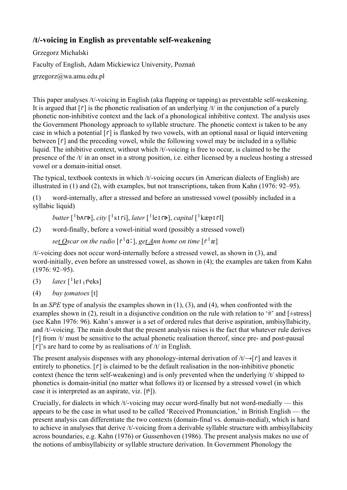## /t/-voicing in English as preventable self-weakening

Grzegorz Michalski Faculty of English, Adam Mickiewicz University, Poznań grzegorz@wa.amu.edu.pl

This paper analyses  $/t$ -voicing in English (aka flapping or tapping) as preventable self-weakening. It is argued that  $\lceil \mathbf{r} \rceil$  is the phonetic realisation of an underlying /t/ in the conjunction of a purely phonetic non-inhibitive context and the lack of a phonological inhibitive context. The analysis uses the Government Phonology approach to syllable structure. The phonetic context is taken to be any case in which a potential  $\lceil \mathbf{r} \rceil$  is flanked by two vowels, with an optional nasal or liquid intervening between  $\lceil \cdot \rceil$  and the preceding vowel, while the following vowel may be included in a syllabic liquid. The inhibitive context, without which  $/t$ -voicing is free to occur, is claimed to be the presence of the /t/ in an onset in a strong position, i.e. either licensed by a nucleus hosting a stressed vowel or a domain-initial onset.

The typical, textbook contexts in which /t/-voicing occurs (in American dialects of English) are illustrated in (1) and (2), with examples, but not transcriptions, taken from Kahn (1976: 92–95).

(1) word-internally, after a stressed and before an unstressed vowel (possibly included in a syllabic liquid)

*butter* [ˈbʌɾɚ], *city* [ˈsɪɾi], *later* [ˈleɪɾɚ], *capital* [ˈkæpɪɾl̩]

 $(2)$  word-finally, before a vowel-initial word (possibly a stressed vowel)

*set Oscar on the radio* [ɾˈɑː], *get Ann home on time* [ɾˈæ]

 $/t$ -voicing does not occur word-internally before a stressed vowel, as shown in  $(3)$ , and word-initially, even before an unstressed vowel, as shown in (4); the examples are taken from Kahn (1976: 92–95).

- (3)  $later \, [^{\dagger}$ le**I**<sub>1</sub> theks]
- (4) *buy tomatoes* [t]

In an *SPE* type of analysis the examples shown in (1), (3), and (4), when confronted with the examples shown in (2), result in a disjunctive condition on the rule with relation to '#' and [ $\pm$ stress] (see Kahn 1976: 96). Kahn's answer is a set of ordered rules that derive aspiration, ambisyllabicity, and  $/t$ -voicing. The main doubt that the present analysis raises is the fact that whatever rule derives  $\lceil$  from /t/ must be sensitive to the actual phonetic realisation thereof, since pre- and post-pausal  $\lceil \int$  s are hard to come by as realisations of /t/ in English.

The present analysis dispenses with any phonology-internal derivation of  $/t \rightarrow$  [r] and leaves it entirely to phonetics.  $\lceil \n\tau \rceil$  is claimed to be the default realisation in the non-inhibitive phonetic context (hence the term self-weakening) and is only prevented when the underlying  $/t$  shipped to phonetics is domain-initial (no matter what follows it) or licensed by a stressed vowel (in which case it is interpreted as an aspirate, viz. [tʰ]).

Crucially, for dialects in which  $/t$ -voicing may occur word-finally but not word-medially — this appears to be the case in what used to be called 'Received Pronunciation,' in British English — the present analysis can differentiate the two contexts (domain-final vs. domain-medial), which is hard to achieve in analyses that derive  $/t$ -voicing from a derivable syllable structure with ambisyllabicity across boundaries, e.g. Kahn (1976) or Gussenhoven (1986). The present analysis makes no use of the notions of ambisyllabicity or syllable structure derivation. In Government Phonology the